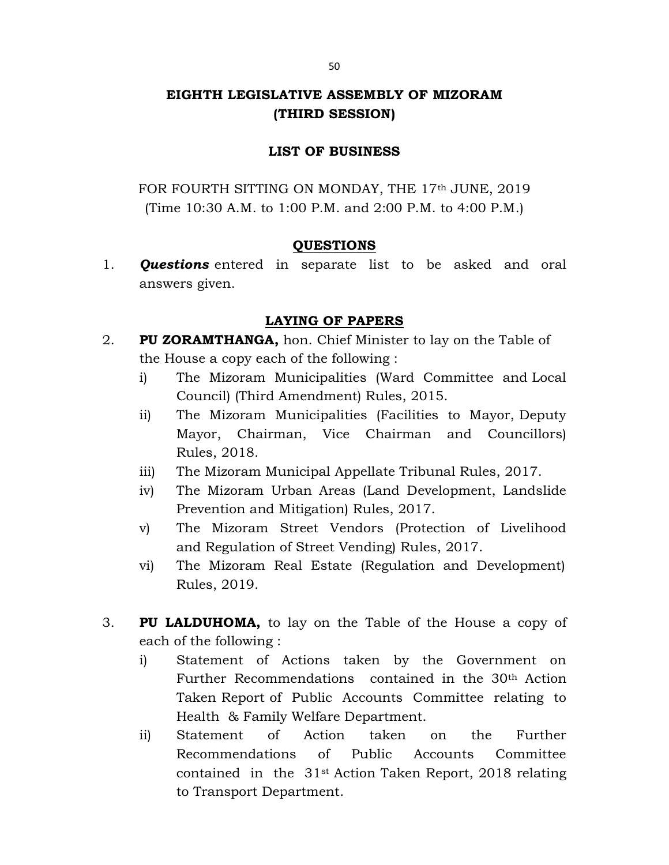# EIGHTH LEGISLATIVE ASSEMBLY OF MIZORAM (THIRD SESSION)

## LIST OF BUSINESS

FOR FOURTH SITTING ON MONDAY, THE 17<sup>th</sup> JUNE, 2019 (Time 10:30 A.M. to 1:00 P.M. and 2:00 P.M. to 4:00 P.M.)

## QUESTIONS

1. **Questions** entered in separate list to be asked and oral answers given.

# LAYING OF PAPERS

- 2. PU ZORAMTHANGA, hon. Chief Minister to lay on the Table of the House a copy each of the following :
	- i) The Mizoram Municipalities (Ward Committee and Local Council) (Third Amendment) Rules, 2015.
	- ii) The Mizoram Municipalities (Facilities to Mayor, Deputy Mayor, Chairman, Vice Chairman and Councillors) Rules, 2018.
	- iii) The Mizoram Municipal Appellate Tribunal Rules, 2017.
	- iv) The Mizoram Urban Areas (Land Development, Landslide Prevention and Mitigation) Rules, 2017.
	- v) The Mizoram Street Vendors (Protection of Livelihood and Regulation of Street Vending) Rules, 2017.
	- vi) The Mizoram Real Estate (Regulation and Development) Rules, 2019.
- 3. PU LALDUHOMA, to lay on the Table of the House a copy of each of the following :
	- i) Statement of Actions taken by the Government on Further Recommendations contained in the 30th Action Taken Report of Public Accounts Committee relating to Health & Family Welfare Department.
	- ii) Statement of Action taken on the Further Recommendations of Public Accounts Committee contained in the 31st Action Taken Report, 2018 relating to Transport Department.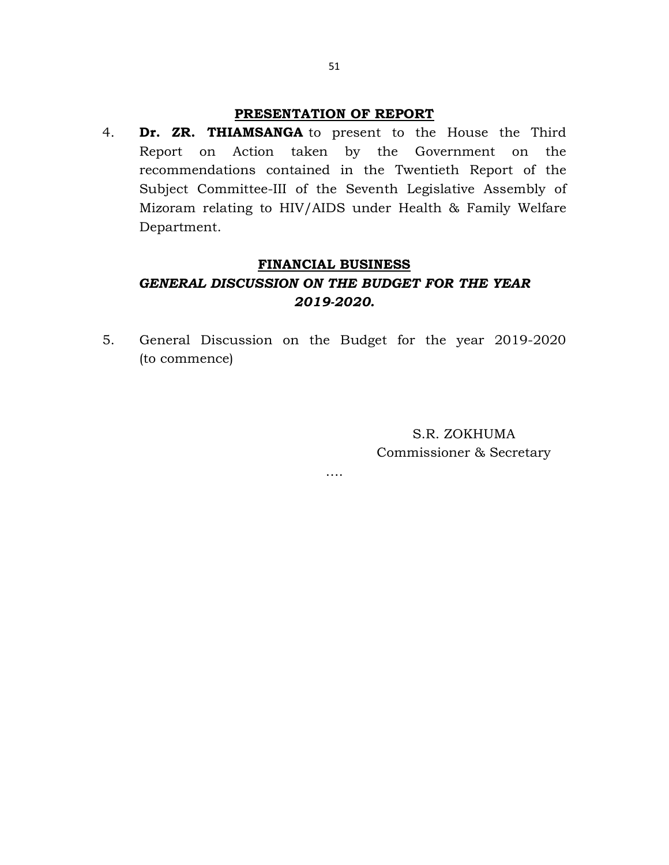## PRESENTATION OF REPORT

4. Dr. ZR. THIAMSANGA to present to the House the Third Report on Action taken by the Government on the recommendations contained in the Twentieth Report of the Subject Committee-III of the Seventh Legislative Assembly of Mizoram relating to HIV/AIDS under Health & Family Welfare Department.

#### FINANCIAL BUSINESS

# GENERAL DISCUSSION ON THE BUDGET FOR THE YEAR 2019-2020.

5. General Discussion on the Budget for the year 2019-2020 (to commence)

….

S.R. ZOKHUMA Commissioner & Secretary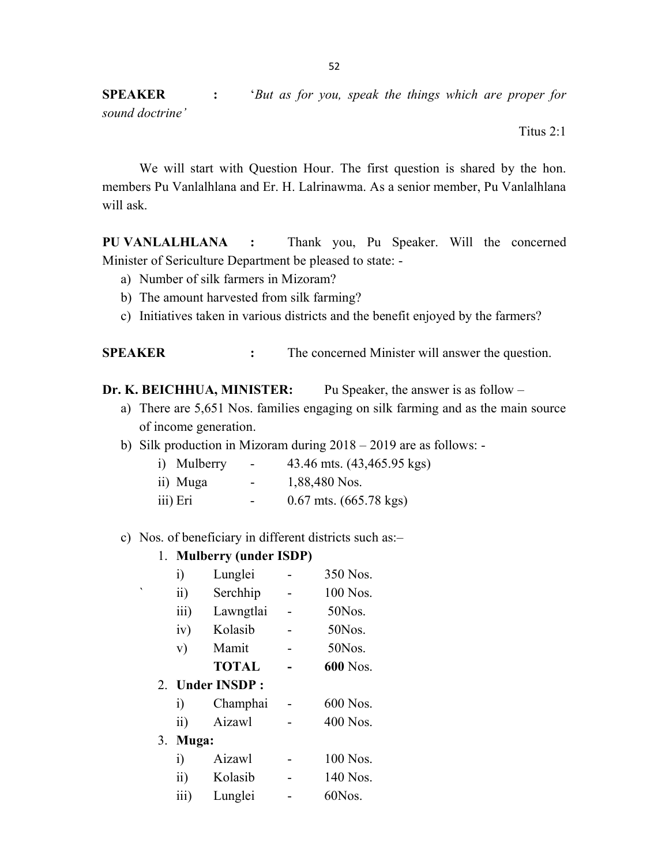SPEAKER : 'But as for you, speak the things which are proper for sound doctrine'

Titus 2:1

We will start with Question Hour. The first question is shared by the hon. members Pu Vanlalhlana and Er. H. Lalrinawma. As a senior member, Pu Vanlalhlana will ask.

PU VANLALHLANA : Thank you, Pu Speaker. Will the concerned Minister of Sericulture Department be pleased to state: -

- a) Number of silk farmers in Mizoram?
- b) The amount harvested from silk farming?
- c) Initiatives taken in various districts and the benefit enjoyed by the farmers?

SPEAKER : The concerned Minister will answer the question.

- Dr. K. BEICHHUA, MINISTER: Pu Speaker, the answer is as follow
	- a) There are 5,651 Nos. families engaging on silk farming and as the main source of income generation.
	- b) Silk production in Mizoram during 2018 2019 are as follows: -

| i) Mulberry | -                        | 43.46 mts. (43,465.95 kgs)         |
|-------------|--------------------------|------------------------------------|
| ii) Muga    | $\sim$                   | 1,88,480 Nos.                      |
| iii) Eri    | $\overline{\phantom{0}}$ | $0.67$ mts. $(665.78 \text{ kgs})$ |

#### c) Nos. of beneficiary in different districts such as:–

### 1. Mulberry (under ISDP)

|   |    | $\ddot{i}$          | Lunglei      |  | 350 Nos. |
|---|----|---------------------|--------------|--|----------|
| ۰ |    | $\ddot{\mathbf{i}}$ | Serchhip     |  | 100 Nos. |
|   |    | iii)                | Lawngtlai    |  | 50Nos.   |
|   |    | iv)                 | Kolasib      |  | 50Nos.   |
|   |    | V)                  | Mamit        |  | 50Nos.   |
|   |    |                     | <b>TOTAL</b> |  | 600 Nos. |
|   |    | 2. Under INSDP:     |              |  |          |
|   |    | $\ddot{1}$          | Champhai     |  | 600 Nos. |
|   |    | $\overline{11}$     | Aizawl       |  | 400 Nos. |
|   | 3. | Muga:               |              |  |          |
|   |    | $\ddot{i}$          | Aizawl       |  | 100 Nos. |
|   |    | $\ddot{\mathbf{i}}$ | Kolasib      |  | 140 Nos. |
|   |    | $\overline{111}$    | Lunglei      |  | 60Nos.   |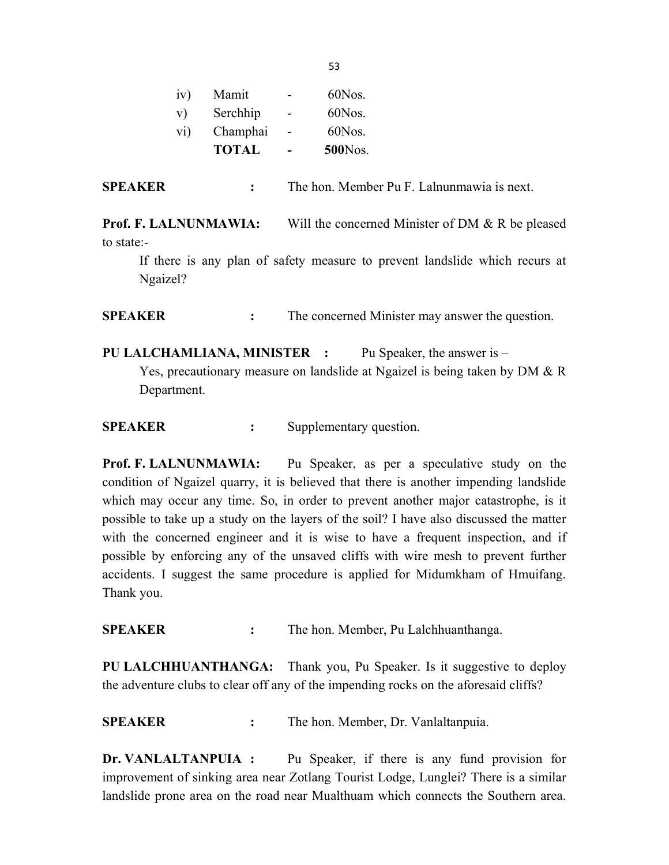|            | <b>TOTAL</b> |   | <b>500</b> Nos. |
|------------|--------------|---|-----------------|
| $\rm{vi})$ | Champhai     |   | 60Nos.          |
| V)         | Serchhip     | ۳ | 60Nos.          |
| iv)        | Mamit        |   | 60Nos.          |
|            |              |   |                 |

SPEAKER : The hon. Member Pu F. Lalnunmawia is next.

Prof. F. LALNUNMAWIA: Will the concerned Minister of DM & R be pleased to state:-

 If there is any plan of safety measure to prevent landslide which recurs at Ngaizel?

SPEAKER : The concerned Minister may answer the question.

PU LALCHAMLIANA, MINISTER : Pu Speaker, the answer is –

 Yes, precautionary measure on landslide at Ngaizel is being taken by DM & R Department.

SPEAKER : Supplementary question.

Prof. F. LALNUNMAWIA: Pu Speaker, as per a speculative study on the condition of Ngaizel quarry, it is believed that there is another impending landslide which may occur any time. So, in order to prevent another major catastrophe, is it possible to take up a study on the layers of the soil? I have also discussed the matter with the concerned engineer and it is wise to have a frequent inspection, and if possible by enforcing any of the unsaved cliffs with wire mesh to prevent further accidents. I suggest the same procedure is applied for Midumkham of Hmuifang. Thank you.

SPEAKER : The hon. Member, Pu Lalchhuanthanga.

PU LALCHHUANTHANGA: Thank you, Pu Speaker. Is it suggestive to deploy the adventure clubs to clear off any of the impending rocks on the aforesaid cliffs?

SPEAKER : The hon. Member, Dr. Vanlaltanpuia.

Dr. VANLALTANPUIA : Pu Speaker, if there is any fund provision for improvement of sinking area near Zotlang Tourist Lodge, Lunglei? There is a similar landslide prone area on the road near Mualthuam which connects the Southern area.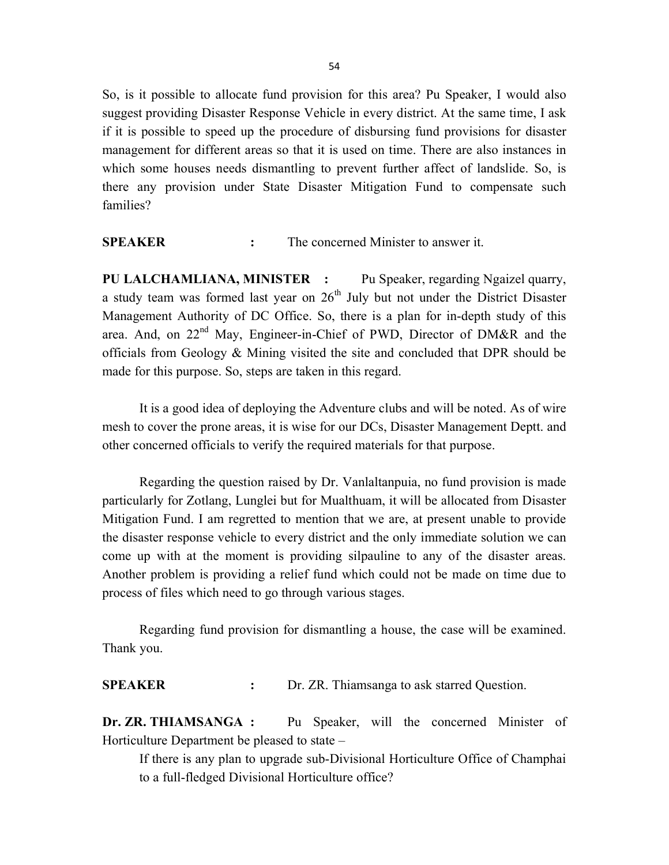So, is it possible to allocate fund provision for this area? Pu Speaker, I would also suggest providing Disaster Response Vehicle in every district. At the same time, I ask if it is possible to speed up the procedure of disbursing fund provisions for disaster management for different areas so that it is used on time. There are also instances in which some houses needs dismantling to prevent further affect of landslide. So, is there any provision under State Disaster Mitigation Fund to compensate such families?

SPEAKER : The concerned Minister to answer it.

PU LALCHAMLIANA, MINISTER : Pu Speaker, regarding Ngaizel quarry, a study team was formed last year on  $26<sup>th</sup>$  July but not under the District Disaster Management Authority of DC Office. So, there is a plan for in-depth study of this area. And, on 22<sup>nd</sup> May, Engineer-in-Chief of PWD, Director of DM&R and the officials from Geology & Mining visited the site and concluded that DPR should be made for this purpose. So, steps are taken in this regard.

It is a good idea of deploying the Adventure clubs and will be noted. As of wire mesh to cover the prone areas, it is wise for our DCs, Disaster Management Deptt. and other concerned officials to verify the required materials for that purpose.

Regarding the question raised by Dr. Vanlaltanpuia, no fund provision is made particularly for Zotlang, Lunglei but for Mualthuam, it will be allocated from Disaster Mitigation Fund. I am regretted to mention that we are, at present unable to provide the disaster response vehicle to every district and the only immediate solution we can come up with at the moment is providing silpauline to any of the disaster areas. Another problem is providing a relief fund which could not be made on time due to process of files which need to go through various stages.

Regarding fund provision for dismantling a house, the case will be examined. Thank you.

SPEAKER : Dr. ZR. Thiamsanga to ask starred Question.

Dr. ZR. THIAMSANGA : Pu Speaker, will the concerned Minister of Horticulture Department be pleased to state –

 If there is any plan to upgrade sub-Divisional Horticulture Office of Champhai to a full-fledged Divisional Horticulture office?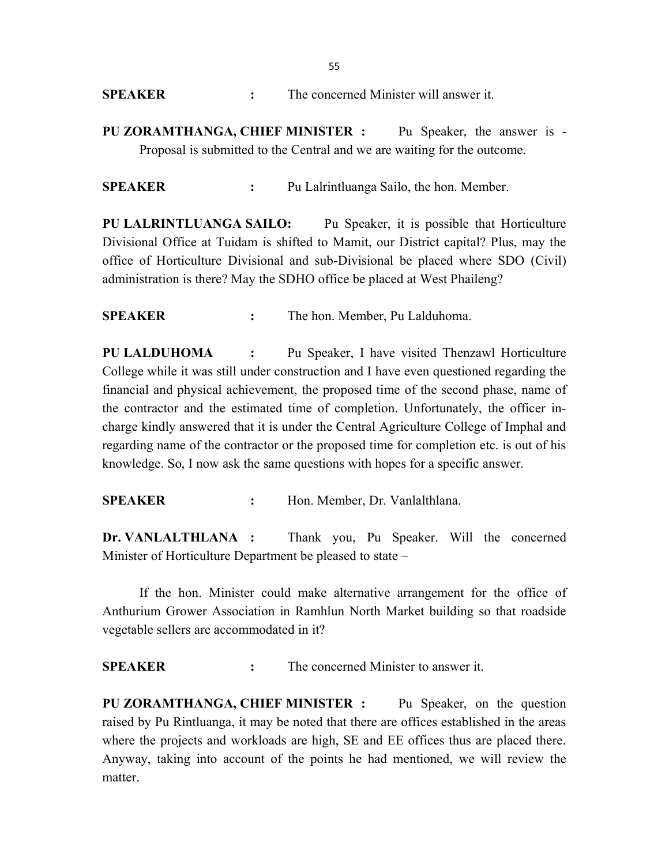| The concerned Minister will answer it. |
|----------------------------------------|
|                                        |

PU ZORAMTHANGA, CHIEF MINISTER : Pu Speaker, the answer is - Proposal is submitted to the Central and we are waiting for the outcome.

SPEAKER : Pu Lalrintluanga Sailo, the hon. Member.

PU LALRINTLUANGA SAILO: Pu Speaker, it is possible that Horticulture Divisional Office at Tuidam is shifted to Mamit, our District capital? Plus, may the office of Horticulture Divisional and sub-Divisional be placed where SDO (Civil) administration is there? May the SDHO office be placed at West Phaileng?

SPEAKER : The hon. Member, Pu Lalduhoma.

PU LALDUHOMA : Pu Speaker, I have visited Thenzawl Horticulture College while it was still under construction and I have even questioned regarding the financial and physical achievement, the proposed time of the second phase, name of the contractor and the estimated time of completion. Unfortunately, the officer incharge kindly answered that it is under the Central Agriculture College of Imphal and regarding name of the contractor or the proposed time for completion etc. is out of his knowledge. So, I now ask the same questions with hopes for a specific answer.

SPEAKER : Hon. Member, Dr. Vanlalthlana.

Dr. VANLALTHLANA : Thank you, Pu Speaker. Will the concerned Minister of Horticulture Department be pleased to state –

 If the hon. Minister could make alternative arrangement for the office of Anthurium Grower Association in Ramhlun North Market building so that roadside vegetable sellers are accommodated in it?

SPEAKER : The concerned Minister to answer it.

PU ZORAMTHANGA, CHIEF MINISTER : Pu Speaker, on the question raised by Pu Rintluanga, it may be noted that there are offices established in the areas where the projects and workloads are high, SE and EE offices thus are placed there. Anyway, taking into account of the points he had mentioned, we will review the matter.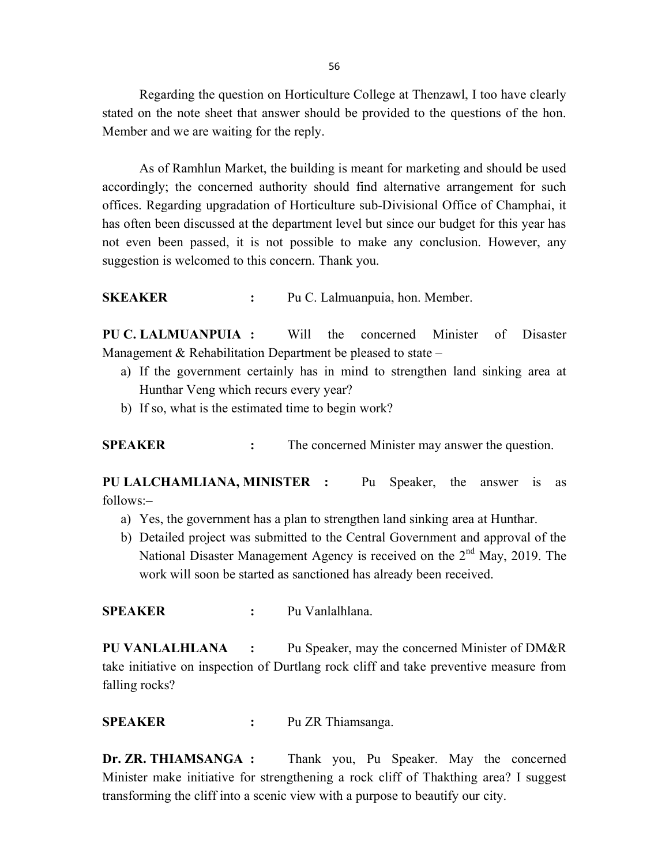Regarding the question on Horticulture College at Thenzawl, I too have clearly stated on the note sheet that answer should be provided to the questions of the hon. Member and we are waiting for the reply.

As of Ramhlun Market, the building is meant for marketing and should be used accordingly; the concerned authority should find alternative arrangement for such offices. Regarding upgradation of Horticulture sub-Divisional Office of Champhai, it has often been discussed at the department level but since our budget for this year has not even been passed, it is not possible to make any conclusion. However, any suggestion is welcomed to this concern. Thank you.

SKEAKER : Pu C. Lalmuanpuia, hon. Member.

PU C. LALMUANPUIA : Will the concerned Minister of Disaster Management & Rehabilitation Department be pleased to state –

- a) If the government certainly has in mind to strengthen land sinking area at Hunthar Veng which recurs every year?
- b) If so, what is the estimated time to begin work?

SPEAKER : The concerned Minister may answer the question.

PU LALCHAMLIANA, MINISTER : Pu Speaker, the answer is as follows:–

- a) Yes, the government has a plan to strengthen land sinking area at Hunthar.
- b) Detailed project was submitted to the Central Government and approval of the National Disaster Management Agency is received on the 2<sup>nd</sup> May, 2019. The work will soon be started as sanctioned has already been received.

SPEAKER : Pu Vanlalhlana.

PU VANLALHLANA : Pu Speaker, may the concerned Minister of DM&R take initiative on inspection of Durtlang rock cliff and take preventive measure from falling rocks?

SPEAKER : Pu ZR Thiamsanga.

Dr. ZR. THIAMSANGA : Thank you, Pu Speaker. May the concerned Minister make initiative for strengthening a rock cliff of Thakthing area? I suggest transforming the cliff into a scenic view with a purpose to beautify our city.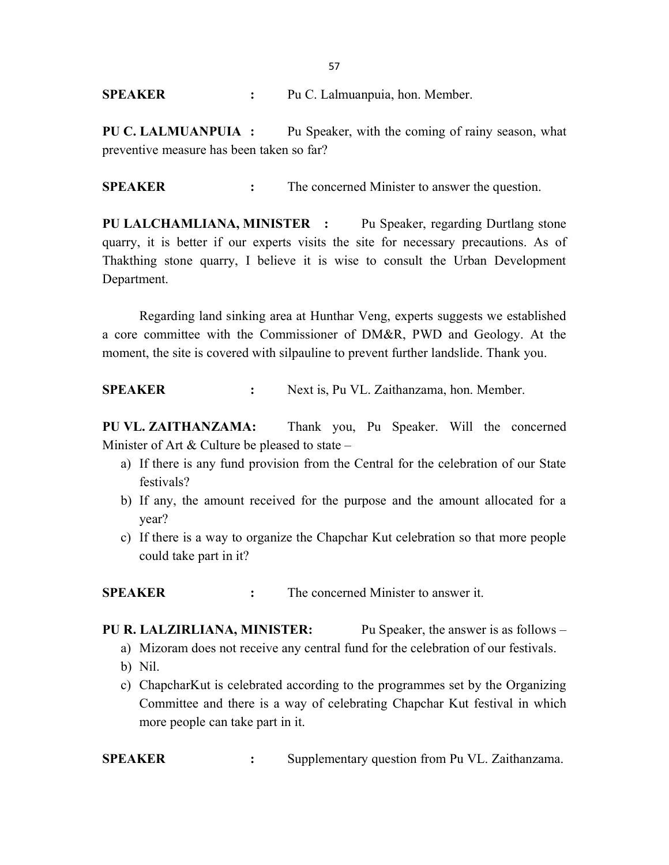### SPEAKER : Pu C. Lalmuanpuia, hon. Member.

PU C. LALMUANPUIA : Pu Speaker, with the coming of rainy season, what preventive measure has been taken so far?

SPEAKER : The concerned Minister to answer the question.

PU LALCHAMLIANA, MINISTER : Pu Speaker, regarding Durtlang stone quarry, it is better if our experts visits the site for necessary precautions. As of Thakthing stone quarry, I believe it is wise to consult the Urban Development Department.

Regarding land sinking area at Hunthar Veng, experts suggests we established a core committee with the Commissioner of DM&R, PWD and Geology. At the moment, the site is covered with silpauline to prevent further landslide. Thank you.

SPEAKER : Next is, Pu VL. Zaithanzama, hon. Member.

PU VL. ZAITHANZAMA: Thank you, Pu Speaker. Will the concerned Minister of Art  $&$  Culture be pleased to state –

- a) If there is any fund provision from the Central for the celebration of our State festivals?
- b) If any, the amount received for the purpose and the amount allocated for a year?
- c) If there is a way to organize the Chapchar Kut celebration so that more people could take part in it?

SPEAKER : The concerned Minister to answer it.

- PU R. LALZIRLIANA, MINISTER: Pu Speaker, the answer is as follows
	- a) Mizoram does not receive any central fund for the celebration of our festivals.
	- b) Nil.
	- c) ChapcharKut is celebrated according to the programmes set by the Organizing Committee and there is a way of celebrating Chapchar Kut festival in which more people can take part in it.

SPEAKER : Supplementary question from Pu VL. Zaithanzama.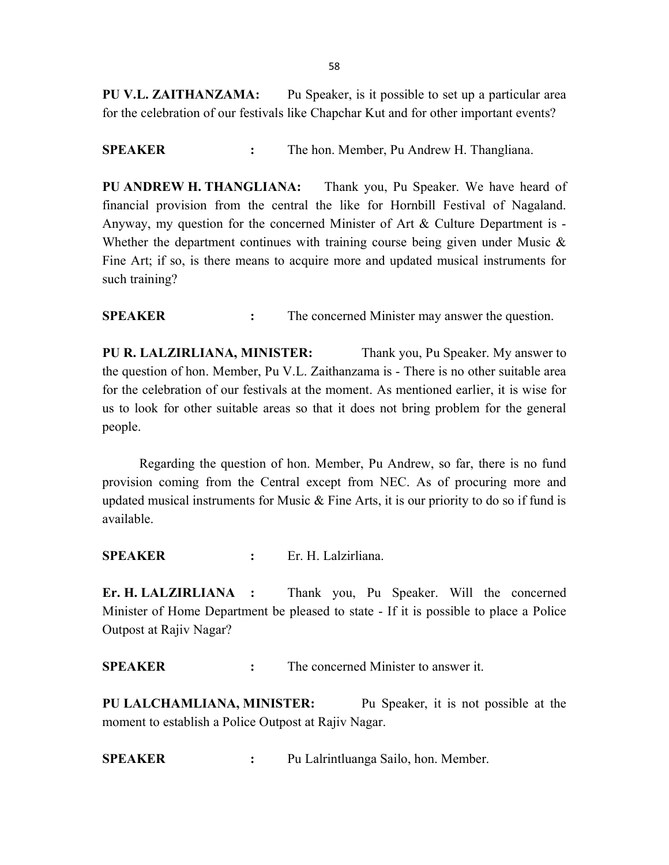PU V.L. ZAITHANZAMA: Pu Speaker, is it possible to set up a particular area for the celebration of our festivals like Chapchar Kut and for other important events?

SPEAKER : The hon. Member, Pu Andrew H. Thangliana.

PU ANDREW H. THANGLIANA: Thank you, Pu Speaker. We have heard of financial provision from the central the like for Hornbill Festival of Nagaland. Anyway, my question for the concerned Minister of Art & Culture Department is - Whether the department continues with training course being given under Music  $\&$ Fine Art; if so, is there means to acquire more and updated musical instruments for such training?

SPEAKER : The concerned Minister may answer the question.

PU R. LALZIRLIANA, MINISTER: Thank you, Pu Speaker. My answer to the question of hon. Member, Pu V.L. Zaithanzama is - There is no other suitable area for the celebration of our festivals at the moment. As mentioned earlier, it is wise for us to look for other suitable areas so that it does not bring problem for the general people.

 Regarding the question of hon. Member, Pu Andrew, so far, there is no fund provision coming from the Central except from NEC. As of procuring more and updated musical instruments for Music  $\&$  Fine Arts, it is our priority to do so if fund is available.

SPEAKER : Er. H. Lalzirliana.

Er. H. LALZIRLIANA : Thank you, Pu Speaker. Will the concerned Minister of Home Department be pleased to state - If it is possible to place a Police Outpost at Rajiv Nagar?

SPEAKER : The concerned Minister to answer it.

PU LALCHAMLIANA, MINISTER: Pu Speaker, it is not possible at the moment to establish a Police Outpost at Rajiv Nagar.

SPEAKER : Pu Lalrintluanga Sailo, hon. Member.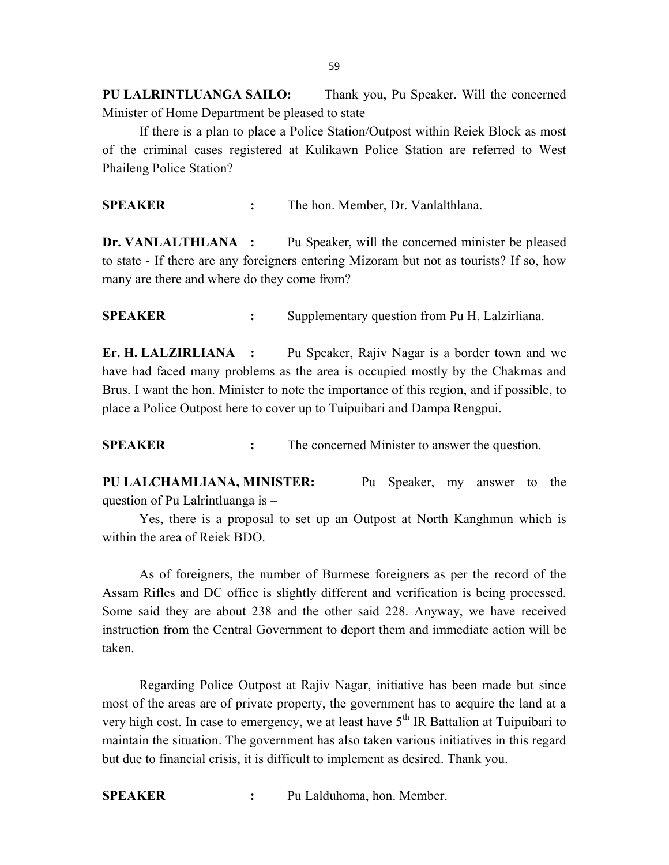PU LALRINTLUANGA SAILO: Thank you, Pu Speaker. Will the concerned Minister of Home Department be pleased to state –

 If there is a plan to place a Police Station/Outpost within Reiek Block as most of the criminal cases registered at Kulikawn Police Station are referred to West Phaileng Police Station?

SPEAKER : The hon. Member, Dr. Vanlalthlana.

Dr. VANLALTHLANA : Pu Speaker, will the concerned minister be pleased to state - If there are any foreigners entering Mizoram but not as tourists? If so, how many are there and where do they come from?

SPEAKER : Supplementary question from Pu H. Lalzirliana.

Er. H. LALZIRLIANA : Pu Speaker, Rajiv Nagar is a border town and we have had faced many problems as the area is occupied mostly by the Chakmas and Brus. I want the hon. Minister to note the importance of this region, and if possible, to place a Police Outpost here to cover up to Tuipuibari and Dampa Rengpui.

SPEAKER : The concerned Minister to answer the question.

PU LALCHAMLIANA, MINISTER: Pu Speaker, my answer to the question of Pu Lalrintluanga is –

 Yes, there is a proposal to set up an Outpost at North Kanghmun which is within the area of Reiek BDO.

 As of foreigners, the number of Burmese foreigners as per the record of the Assam Rifles and DC office is slightly different and verification is being processed. Some said they are about 238 and the other said 228. Anyway, we have received instruction from the Central Government to deport them and immediate action will be taken.

Regarding Police Outpost at Rajiv Nagar, initiative has been made but since most of the areas are of private property, the government has to acquire the land at a very high cost. In case to emergency, we at least have  $5<sup>th</sup>$  IR Battalion at Tuipuibari to maintain the situation. The government has also taken various initiatives in this regard but due to financial crisis, it is difficult to implement as desired. Thank you.

SPEAKER : Pu Lalduhoma, hon. Member.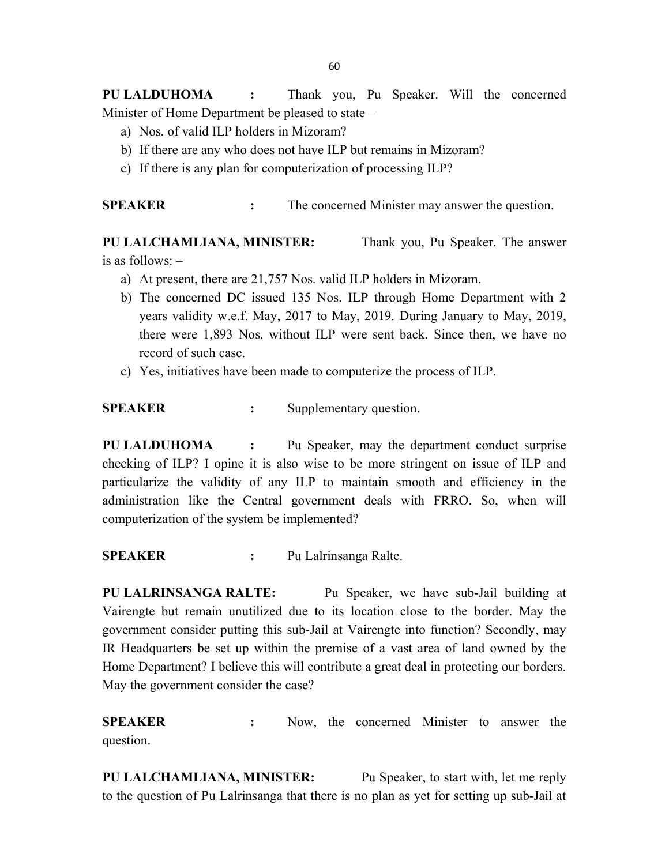PU LALDUHOMA : Thank you, Pu Speaker. Will the concerned Minister of Home Department be pleased to state –

- a) Nos. of valid ILP holders in Mizoram?
- b) If there are any who does not have ILP but remains in Mizoram?
- c) If there is any plan for computerization of processing ILP?

SPEAKER : The concerned Minister may answer the question.

PU LALCHAMLIANA, MINISTER: Thank you, Pu Speaker. The answer is as follows: –

- a) At present, there are 21,757 Nos. valid ILP holders in Mizoram.
- b) The concerned DC issued 135 Nos. ILP through Home Department with 2 years validity w.e.f. May, 2017 to May, 2019. During January to May, 2019, there were 1,893 Nos. without ILP were sent back. Since then, we have no record of such case.
- c) Yes, initiatives have been made to computerize the process of ILP.

SPEAKER : Supplementary question.

PU LALDUHOMA : Pu Speaker, may the department conduct surprise checking of ILP? I opine it is also wise to be more stringent on issue of ILP and particularize the validity of any ILP to maintain smooth and efficiency in the administration like the Central government deals with FRRO. So, when will computerization of the system be implemented?

SPEAKER : Pu Lalrinsanga Ralte.

PU LALRINSANGA RALTE: Pu Speaker, we have sub-Jail building at Vairengte but remain unutilized due to its location close to the border. May the government consider putting this sub-Jail at Vairengte into function? Secondly, may IR Headquarters be set up within the premise of a vast area of land owned by the Home Department? I believe this will contribute a great deal in protecting our borders. May the government consider the case?

SPEAKER : Now, the concerned Minister to answer the question.

PU LALCHAMLIANA, MINISTER: Pu Speaker, to start with, let me reply to the question of Pu Lalrinsanga that there is no plan as yet for setting up sub-Jail at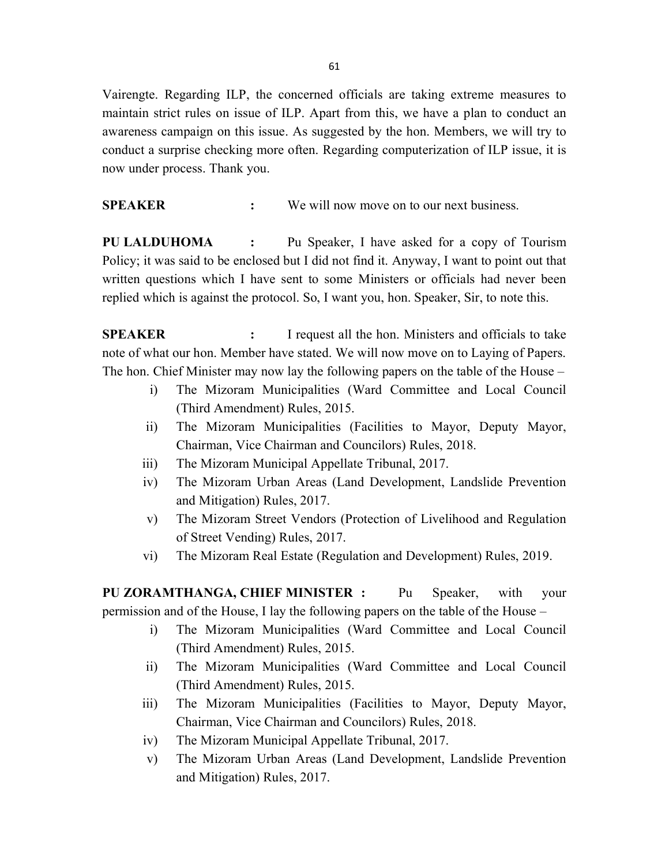Vairengte. Regarding ILP, the concerned officials are taking extreme measures to maintain strict rules on issue of ILP. Apart from this, we have a plan to conduct an awareness campaign on this issue. As suggested by the hon. Members, we will try to conduct a surprise checking more often. Regarding computerization of ILP issue, it is now under process. Thank you.

SPEAKER : We will now move on to our next business.

PU LALDUHOMA : Pu Speaker, I have asked for a copy of Tourism Policy; it was said to be enclosed but I did not find it. Anyway, I want to point out that written questions which I have sent to some Ministers or officials had never been replied which is against the protocol. So, I want you, hon. Speaker, Sir, to note this.

SPEAKER : I request all the hon. Ministers and officials to take note of what our hon. Member have stated. We will now move on to Laying of Papers. The hon. Chief Minister may now lay the following papers on the table of the House –

- i) The Mizoram Municipalities (Ward Committee and Local Council (Third Amendment) Rules, 2015.
- ii) The Mizoram Municipalities (Facilities to Mayor, Deputy Mayor, Chairman, Vice Chairman and Councilors) Rules, 2018.
- iii) The Mizoram Municipal Appellate Tribunal, 2017.
- iv) The Mizoram Urban Areas (Land Development, Landslide Prevention and Mitigation) Rules, 2017.
- v) The Mizoram Street Vendors (Protection of Livelihood and Regulation of Street Vending) Rules, 2017.
- vi) The Mizoram Real Estate (Regulation and Development) Rules, 2019.

PU ZORAMTHANGA, CHIEF MINISTER : Pu Speaker, with your permission and of the House, I lay the following papers on the table of the House –

- i) The Mizoram Municipalities (Ward Committee and Local Council (Third Amendment) Rules, 2015.
- ii) The Mizoram Municipalities (Ward Committee and Local Council (Third Amendment) Rules, 2015.
- iii) The Mizoram Municipalities (Facilities to Mayor, Deputy Mayor, Chairman, Vice Chairman and Councilors) Rules, 2018.
- iv) The Mizoram Municipal Appellate Tribunal, 2017.
- v) The Mizoram Urban Areas (Land Development, Landslide Prevention and Mitigation) Rules, 2017.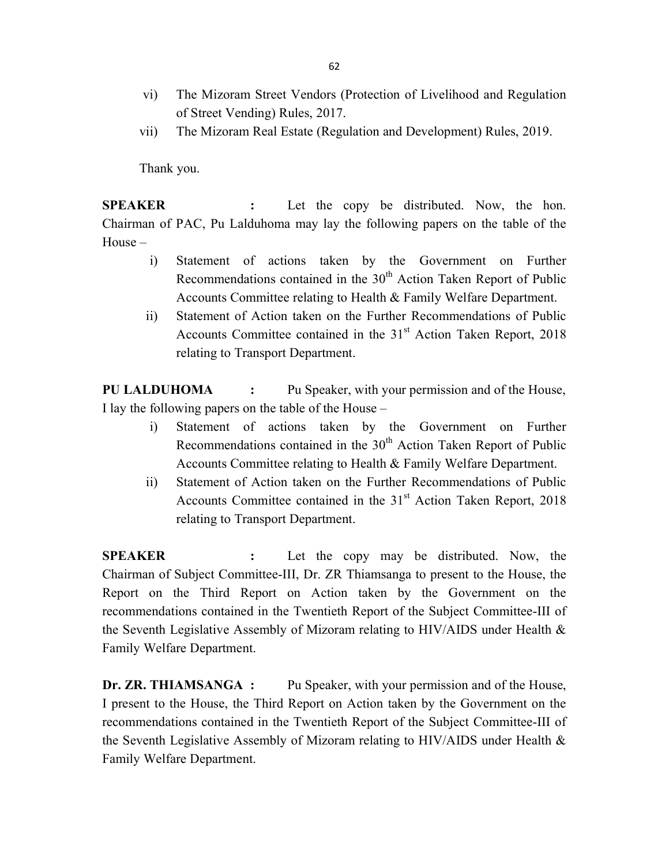- vi) The Mizoram Street Vendors (Protection of Livelihood and Regulation of Street Vending) Rules, 2017.
- vii) The Mizoram Real Estate (Regulation and Development) Rules, 2019.

Thank you.

SPEAKER : Let the copy be distributed. Now, the hon. Chairman of PAC, Pu Lalduhoma may lay the following papers on the table of the House –

- i) Statement of actions taken by the Government on Further Recommendations contained in the  $30<sup>th</sup>$  Action Taken Report of Public Accounts Committee relating to Health & Family Welfare Department.
- ii) Statement of Action taken on the Further Recommendations of Public Accounts Committee contained in the 31<sup>st</sup> Action Taken Report, 2018 relating to Transport Department.

PU LALDUHOMA : Pu Speaker, with your permission and of the House, I lay the following papers on the table of the House –

- i) Statement of actions taken by the Government on Further Recommendations contained in the  $30<sup>th</sup>$  Action Taken Report of Public Accounts Committee relating to Health & Family Welfare Department.
- ii) Statement of Action taken on the Further Recommendations of Public Accounts Committee contained in the 31<sup>st</sup> Action Taken Report, 2018 relating to Transport Department.

SPEAKER : Let the copy may be distributed. Now, the Chairman of Subject Committee-III, Dr. ZR Thiamsanga to present to the House, the Report on the Third Report on Action taken by the Government on the recommendations contained in the Twentieth Report of the Subject Committee-III of the Seventh Legislative Assembly of Mizoram relating to HIV/AIDS under Health & Family Welfare Department.

Dr. ZR. THIAMSANGA : Pu Speaker, with your permission and of the House, I present to the House, the Third Report on Action taken by the Government on the recommendations contained in the Twentieth Report of the Subject Committee-III of the Seventh Legislative Assembly of Mizoram relating to HIV/AIDS under Health  $\&$ Family Welfare Department.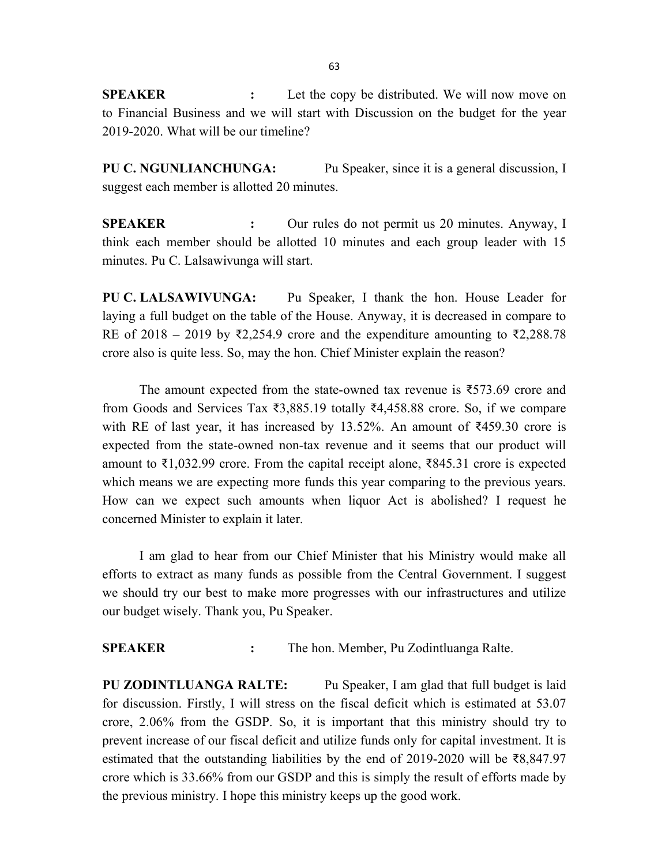**SPEAKER** : Let the copy be distributed. We will now move on to Financial Business and we will start with Discussion on the budget for the year 2019-2020. What will be our timeline?

PU C. NGUNLIANCHUNGA: Pu Speaker, since it is a general discussion, I suggest each member is allotted 20 minutes.

SPEAKER : Our rules do not permit us 20 minutes. Anyway, I think each member should be allotted 10 minutes and each group leader with 15 minutes. Pu C. Lalsawivunga will start.

PU C. LALSAWIVUNGA: Pu Speaker, I thank the hon. House Leader for laying a full budget on the table of the House. Anyway, it is decreased in compare to RE of 2018 – 2019 by ₹2,254.9 crore and the expenditure amounting to ₹2,288.78 crore also is quite less. So, may the hon. Chief Minister explain the reason?

The amount expected from the state-owned tax revenue is ₹573.69 crore and from Goods and Services Tax ₹3,885.19 totally ₹4,458.88 crore. So, if we compare with RE of last year, it has increased by 13.52%. An amount of  $\overline{\xi}$ 459.30 crore is expected from the state-owned non-tax revenue and it seems that our product will amount to ₹1,032.99 crore. From the capital receipt alone, ₹845.31 crore is expected which means we are expecting more funds this year comparing to the previous years. How can we expect such amounts when liquor Act is abolished? I request he concerned Minister to explain it later.

I am glad to hear from our Chief Minister that his Ministry would make all efforts to extract as many funds as possible from the Central Government. I suggest we should try our best to make more progresses with our infrastructures and utilize our budget wisely. Thank you, Pu Speaker.

SPEAKER : The hon. Member, Pu Zodintluanga Ralte.

PU ZODINTLUANGA RALTE: Pu Speaker, I am glad that full budget is laid for discussion. Firstly, I will stress on the fiscal deficit which is estimated at 53.07 crore, 2.06% from the GSDP. So, it is important that this ministry should try to prevent increase of our fiscal deficit and utilize funds only for capital investment. It is estimated that the outstanding liabilities by the end of 2019-2020 will be ₹8,847.97 crore which is 33.66% from our GSDP and this is simply the result of efforts made by the previous ministry. I hope this ministry keeps up the good work.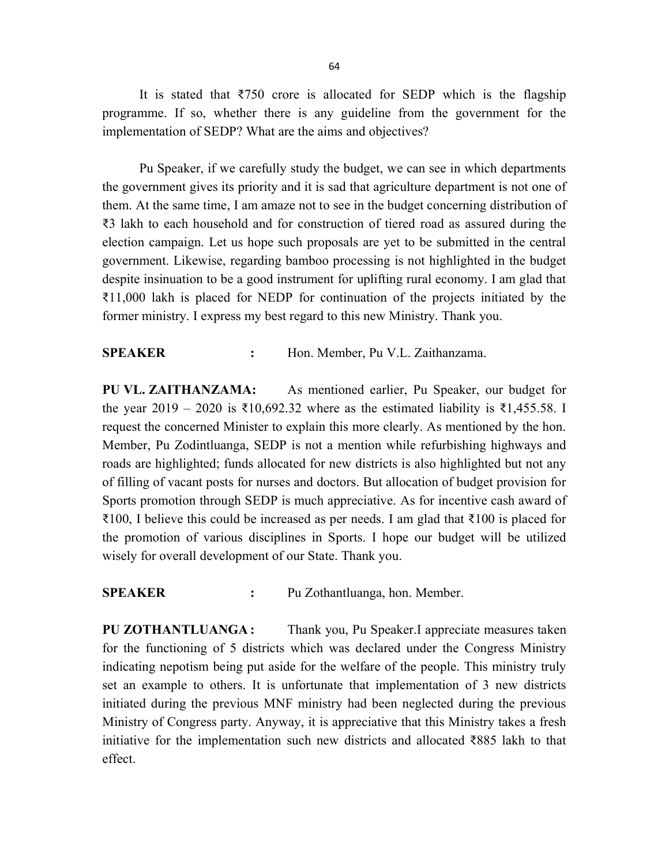It is stated that  $\overline{\xi}$ 750 crore is allocated for SEDP which is the flagship programme. If so, whether there is any guideline from the government for the implementation of SEDP? What are the aims and objectives?

Pu Speaker, if we carefully study the budget, we can see in which departments the government gives its priority and it is sad that agriculture department is not one of them. At the same time, I am amaze not to see in the budget concerning distribution of ₹3 lakh to each household and for construction of tiered road as assured during the election campaign. Let us hope such proposals are yet to be submitted in the central government. Likewise, regarding bamboo processing is not highlighted in the budget despite insinuation to be a good instrument for uplifting rural economy. I am glad that ₹11,000 lakh is placed for NEDP for continuation of the projects initiated by the former ministry. I express my best regard to this new Ministry. Thank you.

#### SPEAKER : Hon. Member, Pu V.L. Zaithanzama.

PU VL. ZAITHANZAMA: As mentioned earlier, Pu Speaker, our budget for the year 2019 – 2020 is ₹10,692.32 where as the estimated liability is ₹1,455.58. I request the concerned Minister to explain this more clearly. As mentioned by the hon. Member, Pu Zodintluanga, SEDP is not a mention while refurbishing highways and roads are highlighted; funds allocated for new districts is also highlighted but not any of filling of vacant posts for nurses and doctors. But allocation of budget provision for Sports promotion through SEDP is much appreciative. As for incentive cash award of ₹100, I believe this could be increased as per needs. I am glad that ₹100 is placed for the promotion of various disciplines in Sports. I hope our budget will be utilized wisely for overall development of our State. Thank you.

SPEAKER : Pu Zothantluanga, hon. Member.

PU ZOTHANTLUANGA: Thank you, Pu Speaker.I appreciate measures taken for the functioning of 5 districts which was declared under the Congress Ministry indicating nepotism being put aside for the welfare of the people. This ministry truly set an example to others. It is unfortunate that implementation of 3 new districts initiated during the previous MNF ministry had been neglected during the previous Ministry of Congress party. Anyway, it is appreciative that this Ministry takes a fresh initiative for the implementation such new districts and allocated ₹885 lakh to that effect.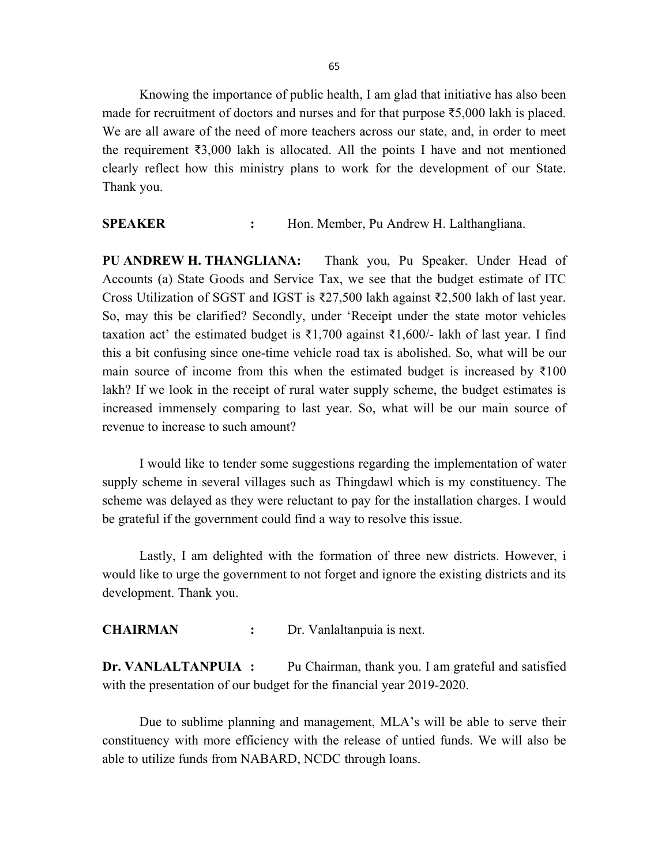65

Knowing the importance of public health, I am glad that initiative has also been made for recruitment of doctors and nurses and for that purpose ₹5,000 lakh is placed. We are all aware of the need of more teachers across our state, and, in order to meet the requirement ₹3,000 lakh is allocated. All the points I have and not mentioned clearly reflect how this ministry plans to work for the development of our State. Thank you.

SPEAKER : Hon. Member, Pu Andrew H. Lalthangliana.

PU ANDREW H. THANGLIANA: Thank you, Pu Speaker. Under Head of Accounts (a) State Goods and Service Tax, we see that the budget estimate of ITC Cross Utilization of SGST and IGST is ₹27,500 lakh against ₹2,500 lakh of last year. So, may this be clarified? Secondly, under 'Receipt under the state motor vehicles taxation act' the estimated budget is  $\overline{\xi}1,700$  against  $\overline{\xi}1,600/$ - lakh of last year. I find this a bit confusing since one-time vehicle road tax is abolished. So, what will be our main source of income from this when the estimated budget is increased by  $\bar{\tau}100$ lakh? If we look in the receipt of rural water supply scheme, the budget estimates is increased immensely comparing to last year. So, what will be our main source of revenue to increase to such amount?

I would like to tender some suggestions regarding the implementation of water supply scheme in several villages such as Thingdawl which is my constituency. The scheme was delayed as they were reluctant to pay for the installation charges. I would be grateful if the government could find a way to resolve this issue.

 Lastly, I am delighted with the formation of three new districts. However, i would like to urge the government to not forget and ignore the existing districts and its development. Thank you.

CHAIRMAN : Dr. Vanlaltanpuia is next.

Dr. VANLALTANPUIA : Pu Chairman, thank you. I am grateful and satisfied with the presentation of our budget for the financial year 2019-2020.

 Due to sublime planning and management, MLA's will be able to serve their constituency with more efficiency with the release of untied funds. We will also be able to utilize funds from NABARD, NCDC through loans.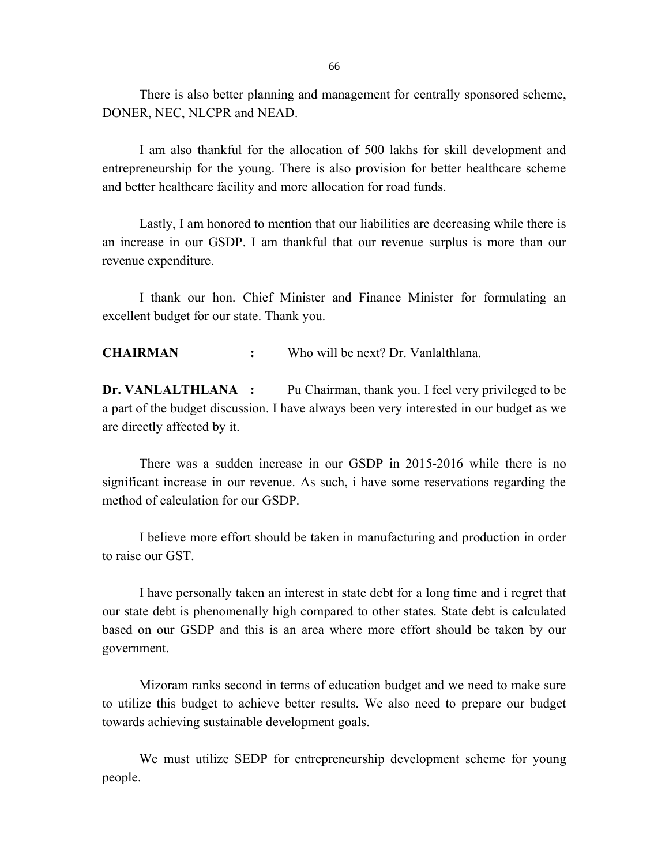There is also better planning and management for centrally sponsored scheme, DONER, NEC, NLCPR and NEAD.

I am also thankful for the allocation of 500 lakhs for skill development and entrepreneurship for the young. There is also provision for better healthcare scheme and better healthcare facility and more allocation for road funds.

 Lastly, I am honored to mention that our liabilities are decreasing while there is an increase in our GSDP. I am thankful that our revenue surplus is more than our revenue expenditure.

 I thank our hon. Chief Minister and Finance Minister for formulating an excellent budget for our state. Thank you.

CHAIRMAN : Who will be next? Dr. Vanlalthlana.

Dr. VANLALTHLANA : Pu Chairman, thank you. I feel very privileged to be a part of the budget discussion. I have always been very interested in our budget as we are directly affected by it.

 There was a sudden increase in our GSDP in 2015-2016 while there is no significant increase in our revenue. As such, i have some reservations regarding the method of calculation for our GSDP.

 I believe more effort should be taken in manufacturing and production in order to raise our GST.

 I have personally taken an interest in state debt for a long time and i regret that our state debt is phenomenally high compared to other states. State debt is calculated based on our GSDP and this is an area where more effort should be taken by our government.

 Mizoram ranks second in terms of education budget and we need to make sure to utilize this budget to achieve better results. We also need to prepare our budget towards achieving sustainable development goals.

 We must utilize SEDP for entrepreneurship development scheme for young people.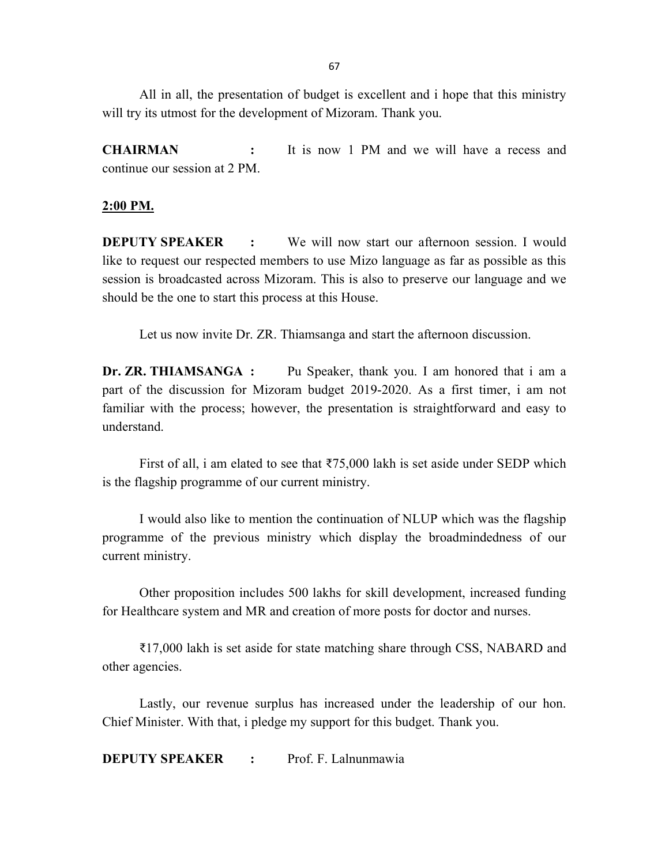67

 All in all, the presentation of budget is excellent and i hope that this ministry will try its utmost for the development of Mizoram. Thank you.

CHAIRMAN : It is now 1 PM and we will have a recess and continue our session at 2 PM.

### 2:00 PM.

DEPUTY SPEAKER : We will now start our afternoon session. I would like to request our respected members to use Mizo language as far as possible as this session is broadcasted across Mizoram. This is also to preserve our language and we should be the one to start this process at this House.

Let us now invite Dr. ZR. Thiamsanga and start the afternoon discussion.

Dr. ZR. THIAMSANGA : Pu Speaker, thank you. I am honored that i am a part of the discussion for Mizoram budget 2019-2020. As a first timer, i am not familiar with the process; however, the presentation is straightforward and easy to understand.

First of all, i am elated to see that  $\text{\textsterling}75,000$  lakh is set aside under SEDP which is the flagship programme of our current ministry.

 I would also like to mention the continuation of NLUP which was the flagship programme of the previous ministry which display the broadmindedness of our current ministry.

 Other proposition includes 500 lakhs for skill development, increased funding for Healthcare system and MR and creation of more posts for doctor and nurses.

 ₹17,000 lakh is set aside for state matching share through CSS, NABARD and other agencies.

 Lastly, our revenue surplus has increased under the leadership of our hon. Chief Minister. With that, i pledge my support for this budget. Thank you.

DEPUTY SPEAKER : Prof. F. Lalnunmawia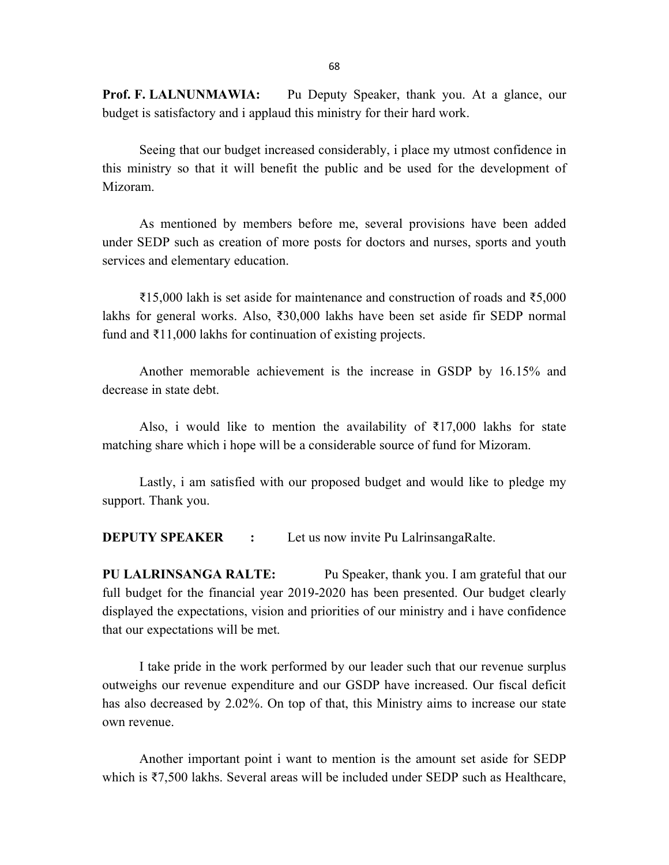Prof. F. LALNUNMAWIA: Pu Deputy Speaker, thank you. At a glance, our budget is satisfactory and i applaud this ministry for their hard work.

 Seeing that our budget increased considerably, i place my utmost confidence in this ministry so that it will benefit the public and be used for the development of Mizoram.

 As mentioned by members before me, several provisions have been added under SEDP such as creation of more posts for doctors and nurses, sports and youth services and elementary education.

 ₹15,000 lakh is set aside for maintenance and construction of roads and ₹5,000 lakhs for general works. Also, ₹30,000 lakhs have been set aside fir SEDP normal fund and ₹11,000 lakhs for continuation of existing projects.

 Another memorable achievement is the increase in GSDP by 16.15% and decrease in state debt.

Also, i would like to mention the availability of  $\bar{\tau}$ 17,000 lakhs for state matching share which i hope will be a considerable source of fund for Mizoram.

 Lastly, i am satisfied with our proposed budget and would like to pledge my support. Thank you.

**DEPUTY SPEAKER** : Let us now invite Pu LalrinsangaRalte.

PU LALRINSANGA RALTE: Pu Speaker, thank you. I am grateful that our full budget for the financial year 2019-2020 has been presented. Our budget clearly displayed the expectations, vision and priorities of our ministry and i have confidence that our expectations will be met.

 I take pride in the work performed by our leader such that our revenue surplus outweighs our revenue expenditure and our GSDP have increased. Our fiscal deficit has also decreased by 2.02%. On top of that, this Ministry aims to increase our state own revenue.

 Another important point i want to mention is the amount set aside for SEDP which is ₹7,500 lakhs. Several areas will be included under SEDP such as Healthcare,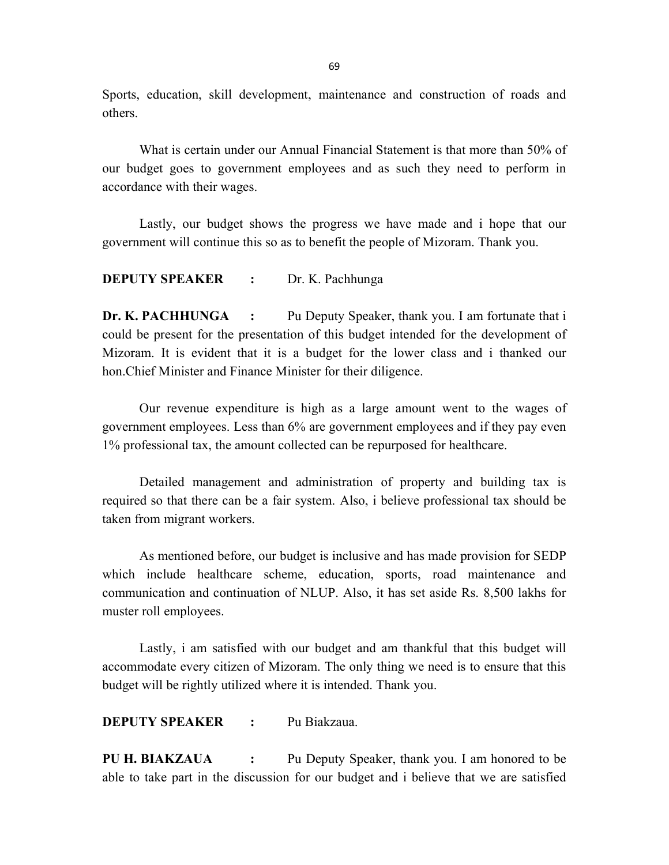Sports, education, skill development, maintenance and construction of roads and others.

 What is certain under our Annual Financial Statement is that more than 50% of our budget goes to government employees and as such they need to perform in accordance with their wages.

 Lastly, our budget shows the progress we have made and i hope that our government will continue this so as to benefit the people of Mizoram. Thank you.

#### DEPUTY SPEAKER : Dr. K. Pachhunga

Dr. K. PACHHUNGA : Pu Deputy Speaker, thank you. I am fortunate that i could be present for the presentation of this budget intended for the development of Mizoram. It is evident that it is a budget for the lower class and i thanked our hon.Chief Minister and Finance Minister for their diligence.

 Our revenue expenditure is high as a large amount went to the wages of government employees. Less than 6% are government employees and if they pay even 1% professional tax, the amount collected can be repurposed for healthcare.

 Detailed management and administration of property and building tax is required so that there can be a fair system. Also, i believe professional tax should be taken from migrant workers.

 As mentioned before, our budget is inclusive and has made provision for SEDP which include healthcare scheme, education, sports, road maintenance and communication and continuation of NLUP. Also, it has set aside Rs. 8,500 lakhs for muster roll employees.

Lastly, i am satisfied with our budget and am thankful that this budget will accommodate every citizen of Mizoram. The only thing we need is to ensure that this budget will be rightly utilized where it is intended. Thank you.

DEPUTY SPEAKER : Pu Biakzaua.

PU H. BIAKZAUA : Pu Deputy Speaker, thank you. I am honored to be able to take part in the discussion for our budget and i believe that we are satisfied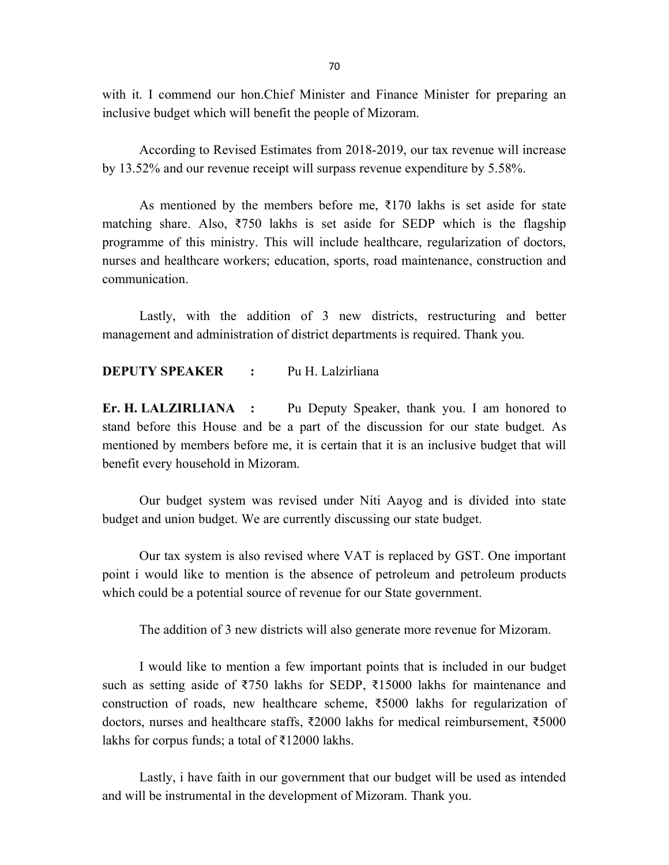70

with it. I commend our hon.Chief Minister and Finance Minister for preparing an inclusive budget which will benefit the people of Mizoram.

 According to Revised Estimates from 2018-2019, our tax revenue will increase by 13.52% and our revenue receipt will surpass revenue expenditure by 5.58%.

As mentioned by the members before me,  $\overline{\xi}$ 170 lakhs is set aside for state matching share. Also, ₹750 lakhs is set aside for SEDP which is the flagship programme of this ministry. This will include healthcare, regularization of doctors, nurses and healthcare workers; education, sports, road maintenance, construction and communication.

 Lastly, with the addition of 3 new districts, restructuring and better management and administration of district departments is required. Thank you.

### DEPUTY SPEAKER : Pu H. Lalzirliana

Er. H. LALZIRLIANA : Pu Deputy Speaker, thank you. I am honored to stand before this House and be a part of the discussion for our state budget. As mentioned by members before me, it is certain that it is an inclusive budget that will benefit every household in Mizoram.

 Our budget system was revised under Niti Aayog and is divided into state budget and union budget. We are currently discussing our state budget.

 Our tax system is also revised where VAT is replaced by GST. One important point i would like to mention is the absence of petroleum and petroleum products which could be a potential source of revenue for our State government.

The addition of 3 new districts will also generate more revenue for Mizoram.

 I would like to mention a few important points that is included in our budget such as setting aside of ₹750 lakhs for SEDP, ₹15000 lakhs for maintenance and construction of roads, new healthcare scheme, ₹5000 lakhs for regularization of doctors, nurses and healthcare staffs, ₹2000 lakhs for medical reimbursement, ₹5000 lakhs for corpus funds; a total of ₹12000 lakhs.

 Lastly, i have faith in our government that our budget will be used as intended and will be instrumental in the development of Mizoram. Thank you.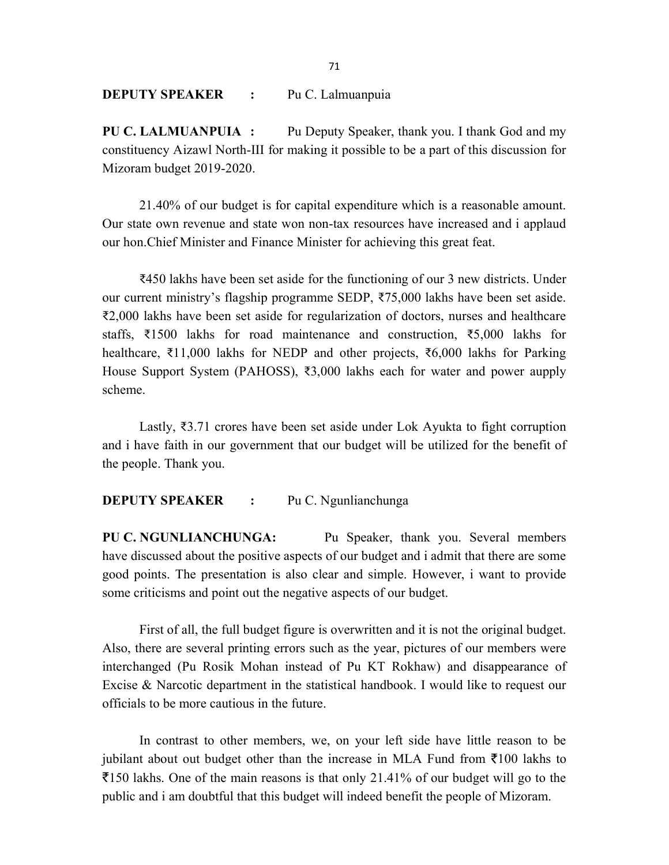DEPUTY SPEAKER : Pu C. Lalmuanpuia

PU C. LALMUANPUIA : Pu Deputy Speaker, thank you. I thank God and my constituency Aizawl North-III for making it possible to be a part of this discussion for Mizoram budget 2019-2020.

 21.40% of our budget is for capital expenditure which is a reasonable amount. Our state own revenue and state won non-tax resources have increased and i applaud our hon.Chief Minister and Finance Minister for achieving this great feat.

 ₹450 lakhs have been set aside for the functioning of our 3 new districts. Under our current ministry's flagship programme SEDP, ₹75,000 lakhs have been set aside. ₹2,000 lakhs have been set aside for regularization of doctors, nurses and healthcare staffs, ₹1500 lakhs for road maintenance and construction, ₹5,000 lakhs for healthcare, ₹11,000 lakhs for NEDP and other projects, ₹6,000 lakhs for Parking House Support System (PAHOSS), ₹3,000 lakhs each for water and power aupply scheme.

 Lastly, ₹3.71 crores have been set aside under Lok Ayukta to fight corruption and i have faith in our government that our budget will be utilized for the benefit of the people. Thank you.

#### DEPUTY SPEAKER : Pu C. Ngunlianchunga

PU C. NGUNLIANCHUNGA: Pu Speaker, thank you. Several members have discussed about the positive aspects of our budget and i admit that there are some good points. The presentation is also clear and simple. However, i want to provide some criticisms and point out the negative aspects of our budget.

First of all, the full budget figure is overwritten and it is not the original budget. Also, there are several printing errors such as the year, pictures of our members were interchanged (Pu Rosik Mohan instead of Pu KT Rokhaw) and disappearance of Excise & Narcotic department in the statistical handbook. I would like to request our officials to be more cautious in the future.

In contrast to other members, we, on your left side have little reason to be jubilant about out budget other than the increase in MLA Fund from  $\bar{\tau}100$  lakhs to  $\overline{5}150$  lakhs. One of the main reasons is that only 21.41% of our budget will go to the public and i am doubtful that this budget will indeed benefit the people of Mizoram.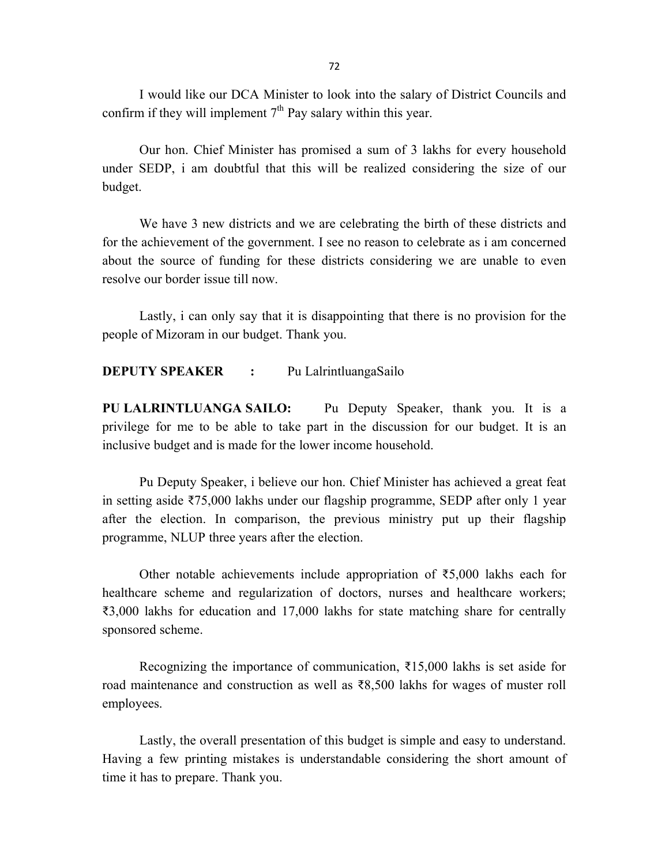I would like our DCA Minister to look into the salary of District Councils and confirm if they will implement  $7<sup>th</sup>$  Pay salary within this year.

 Our hon. Chief Minister has promised a sum of 3 lakhs for every household under SEDP, i am doubtful that this will be realized considering the size of our budget.

 We have 3 new districts and we are celebrating the birth of these districts and for the achievement of the government. I see no reason to celebrate as i am concerned about the source of funding for these districts considering we are unable to even resolve our border issue till now.

Lastly, i can only say that it is disappointing that there is no provision for the people of Mizoram in our budget. Thank you.

### DEPUTY SPEAKER : Pu LalrintluangaSailo

PU LALRINTLUANGA SAILO: Pu Deputy Speaker, thank you. It is a privilege for me to be able to take part in the discussion for our budget. It is an inclusive budget and is made for the lower income household.

 Pu Deputy Speaker, i believe our hon. Chief Minister has achieved a great feat in setting aside ₹75,000 lakhs under our flagship programme, SEDP after only 1 year after the election. In comparison, the previous ministry put up their flagship programme, NLUP three years after the election.

Other notable achievements include appropriation of  $\overline{55,000}$  lakhs each for healthcare scheme and regularization of doctors, nurses and healthcare workers; ₹3,000 lakhs for education and 17,000 lakhs for state matching share for centrally sponsored scheme.

Recognizing the importance of communication,  $\overline{\xi}$ 15,000 lakhs is set aside for road maintenance and construction as well as ₹8,500 lakhs for wages of muster roll employees.

Lastly, the overall presentation of this budget is simple and easy to understand. Having a few printing mistakes is understandable considering the short amount of time it has to prepare. Thank you.